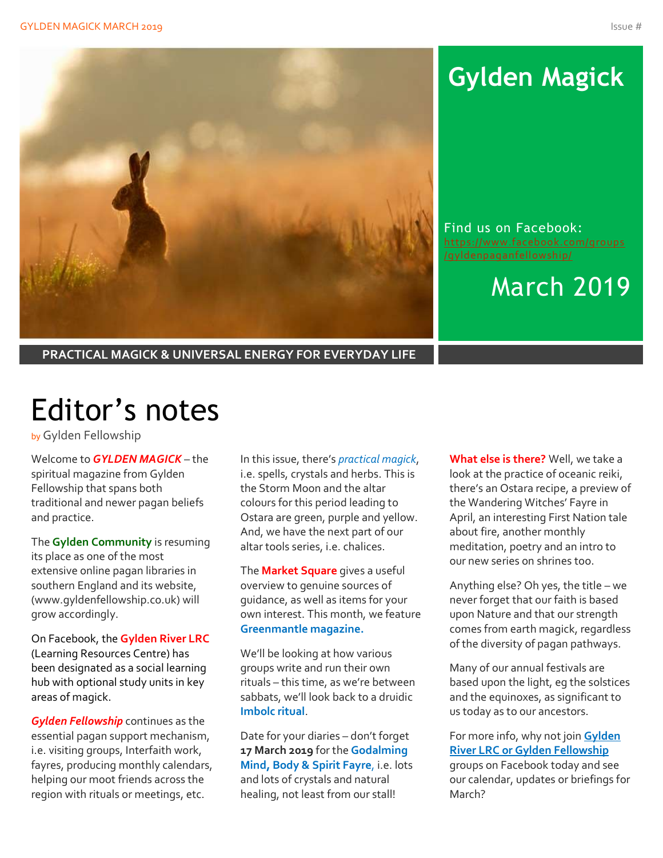

# **Gylden Magick**

Find us on Facebook: [https://www.facebook.com/groups](https://www.facebook.com/groups/gyldenpaganfellowship/)

## March 2019

**PRACTICAL MAGICK & UNIVERSAL ENERGY FOR EVERYDAY LIFE**

# Editor's notes

by Gylden Fellowship

Welcome to *GYLDEN MAGICK* – the spiritual magazine from Gylden Fellowship that spans both traditional and newer pagan beliefs and practice.

The **Gylden Community** is resuming its place as one of the most extensive online pagan libraries in southern England and its website, (www.gyldenfellowship.co.uk) will grow accordingly.

On Facebook, the **Gylden River LRC** (Learning Resources Centre) has been designated as a social learning hub with optional study units in key areas of magick.

*Gylden Fellowship* continues as the essential pagan support mechanism, i.e. visiting groups, Interfaith work, fayres, producing monthly calendars, helping our moot friends across the region with rituals or meetings, etc.

In this issue, there's *practical magick*, i.e. spells, crystals and herbs. This is the Storm Moon and the altar colours for this period leading to Ostara are green, purple and yellow. And, we have the next part of our altar tools series, i.e. chalices.

The **Market Square** gives a useful overview to genuine sources of guidance, as well as items for your own interest. This month, we feature **Greenmantle magazine.**

We'll be looking at how various groups write and run their own rituals – this time, as we're between sabbats, we'll look back to a druidic **Imbolc ritual**.

Date for your diaries – don't forget **17 March 2019** for the **Godalming Mind, Body & Spirit Fayre**, i.e. lots and lots of crystals and natural healing, not least from our stall!

**What else is there?** Well, we take a look at the practice of oceanic reiki, there's an Ostara recipe, a preview of the Wandering Witches' Fayre in April, an interesting First Nation tale about fire, another monthly meditation, poetry and an intro to our new series on shrines too.

Anything else? Oh yes, the title – we never forget that our faith is based upon Nature and that our strength comes from earth magick, regardless of the diversity of pagan pathways.

Many of our annual festivals are based upon the light, eg the solstices and the equinoxes, as significant to us today as to our ancestors.

For more info, why not join **Gylden River LRC or Gylden Fellowship** groups on Facebook today and see our calendar, updates or briefings for March?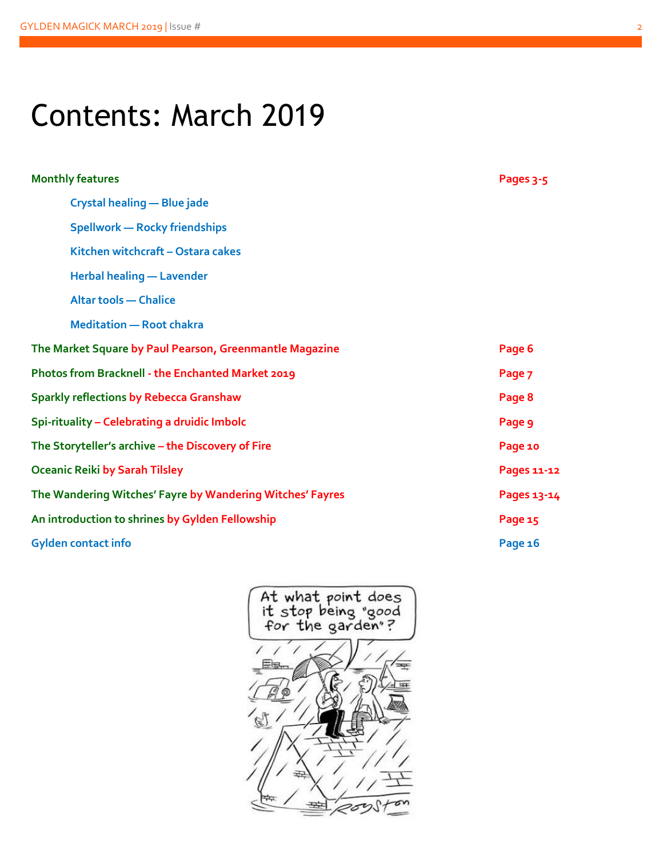# Contents: March 2019

| <b>Monthly features</b>                                   | Pages 3-5   |
|-----------------------------------------------------------|-------------|
| Crystal healing - Blue jade                               |             |
| <b>Spellwork - Rocky friendships</b>                      |             |
| Kitchen witchcraft - Ostara cakes                         |             |
| <b>Herbal healing - Lavender</b>                          |             |
| <b>Altar tools - Chalice</b>                              |             |
| <b>Meditation - Root chakra</b>                           |             |
| The Market Square by Paul Pearson, Greenmantle Magazine   | Page 6      |
| Photos from Bracknell - the Enchanted Market 2019         | Page 7      |
| <b>Sparkly reflections by Rebecca Granshaw</b>            | Page 8      |
| Spi-rituality - Celebrating a druidic Imbolc              | Page 9      |
| The Storyteller's archive - the Discovery of Fire         | Page 10     |
| <b>Oceanic Reiki by Sarah Tilsley</b>                     | Pages 11-12 |
| The Wandering Witches' Fayre by Wandering Witches' Fayres | Pages 13-14 |
| An introduction to shrines by Gylden Fellowship           | Page 15     |
| <b>Gylden contact info</b>                                | Page 16     |

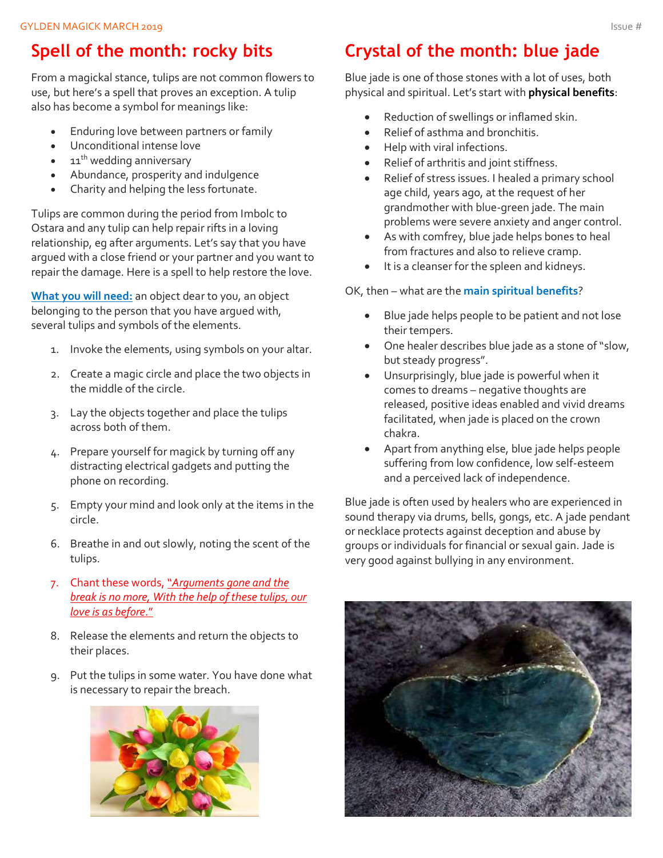## **Spell of the month: rocky bits**

From a magickal stance, tulips are not common flowers to use, but here's a spell that proves an exception. A tulip also has become a symbol for meanings like:

- Enduring love between partners or family
- Unconditional intense love
- $\bullet$  11<sup>th</sup> wedding anniversary
- Abundance, prosperity and indulgence
- Charity and helping the less fortunate.

Tulips are common during the period from Imbolc to Ostara and any tulip can help repair rifts in a loving relationship, eg after arguments. Let's say that you have argued with a close friend or your partner and you want to repair the damage. Here is a spell to help restore the love.

**What you will need:** an object dear to you, an object belonging to the person that you have argued with, several tulips and symbols of the elements.

- 1. Invoke the elements, using symbols on your altar.
- 2. Create a magic circle and place the two objects in the middle of the circle.
- 3. Lay the objects together and place the tulips across both of them.
- 4. Prepare yourself for magick by turning off any distracting electrical gadgets and putting the phone on recording.
- 5. Empty your mind and look only at the items in the circle.
- 6. Breathe in and out slowly, noting the scent of the tulips.
- 7. Chant these words, "*Arguments gone and the break is no more, With the help of these tulips, our love is as before*."
- 8. Release the elements and return the objects to their places.
- 9. Put the tulips in some water. You have done what is necessary to repair the breach.



## **Crystal of the month: blue jade**

Blue jade is one of those stones with a lot of uses, both physical and spiritual. Let's start with **physical benefits**:

- Reduction of swellings or inflamed skin.
- Relief of asthma and bronchitis.
- Help with viral infections.
- Relief of arthritis and joint stiffness.
- Relief of stress issues. I healed a primary school age child, years ago, at the request of her grandmother with blue-green jade. The main problems were severe anxiety and anger control.
- As with comfrey, blue jade helps bones to heal from fractures and also to relieve cramp.
- It is a cleanser for the spleen and kidneys.

#### OK, then – what are the **main spiritual benefits**?

- Blue jade helps people to be patient and not lose their tempers.
- One healer describes blue jade as a stone of "slow, but steady progress".
- Unsurprisingly, blue jade is powerful when it comes to dreams – negative thoughts are released, positive ideas enabled and vivid dreams facilitated, when jade is placed on the crown chakra.
- Apart from anything else, blue jade helps people suffering from low confidence, low self-esteem and a perceived lack of independence.

Blue jade is often used by healers who are experienced in sound therapy via drums, bells, gongs, etc. A jade pendant or necklace protects against deception and abuse by groups or individuals for financial or sexual gain. Jade is very good against bullying in any environment.

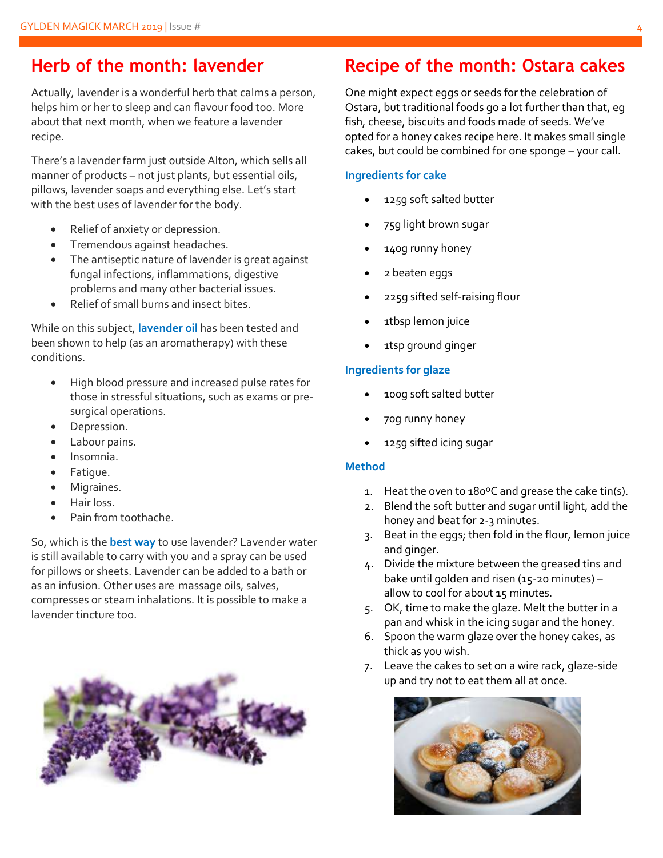#### **Herb of the month: lavender**

Actually, lavender is a wonderful herb that calms a person, helps him or her to sleep and can flavour food too. More about that next month, when we feature a lavender recipe.

There's a lavender farm just outside Alton, which sells all manner of products – not just plants, but essential oils, pillows, lavender soaps and everything else. Let's start with the best uses of lavender for the body.

- Relief of anxiety or depression.
- Tremendous against headaches.
- The antiseptic nature of lavender is great against fungal infections, inflammations, digestive problems and many other bacterial issues.
- Relief of small burns and insect bites.

While on this subject, **lavender oil** has been tested and been shown to help (as an aromatherapy) with these conditions.

- High blood pressure and increased pulse rates for those in stressful situations, such as exams or presurgical operations.
- Depression.
- Labour pains.
- Insomnia.
- Fatigue.
- Migraines.
- Hair loss.
- Pain from toothache.

So, which is the **best way** to use lavender? Lavender water is still available to carry with you and a spray can be used for pillows or sheets. Lavender can be added to a bath or as an infusion. Other uses are massage oils, salves, compresses or steam inhalations. It is possible to make a lavender tincture too.



#### **Recipe of the month: Ostara cakes**

One might expect eggs or seeds for the celebration of Ostara, but traditional foods go a lot further than that, eg fish, cheese, biscuits and foods made of seeds. We've opted for a honey cakes recipe here. It makes small single cakes, but could be combined for one sponge – your call.

#### **Ingredients for cake**

- 125g soft salted butter
- 75g light brown sugar
- 140g runny honey
- 2 beaten eggs
- 225g sifted self-raising flour
- 1tbsp lemon juice
- 1tsp ground ginger

#### **Ingredients for glaze**

- 100g soft salted butter
- 70g runny honey
- 125g sifted icing sugar

#### **Method**

- 1. Heat the oven to 180ºC and grease the cake tin(s).
- 2. Blend the soft butter and sugar until light, add the honey and beat for 2-3 minutes.
- 3. Beat in the eggs; then fold in the flour, lemon juice and ginger.
- 4. Divide the mixture between the greased tins and bake until golden and risen (15-20 minutes) – allow to cool for about 15 minutes.
- 5. OK, time to make the glaze. Melt the butter in a pan and whisk in the icing sugar and the honey.
- 6. Spoon the warm glaze over the honey cakes, as thick as you wish.
- 7. Leave the cakes to set on a wire rack, glaze-side up and try not to eat them all at once.

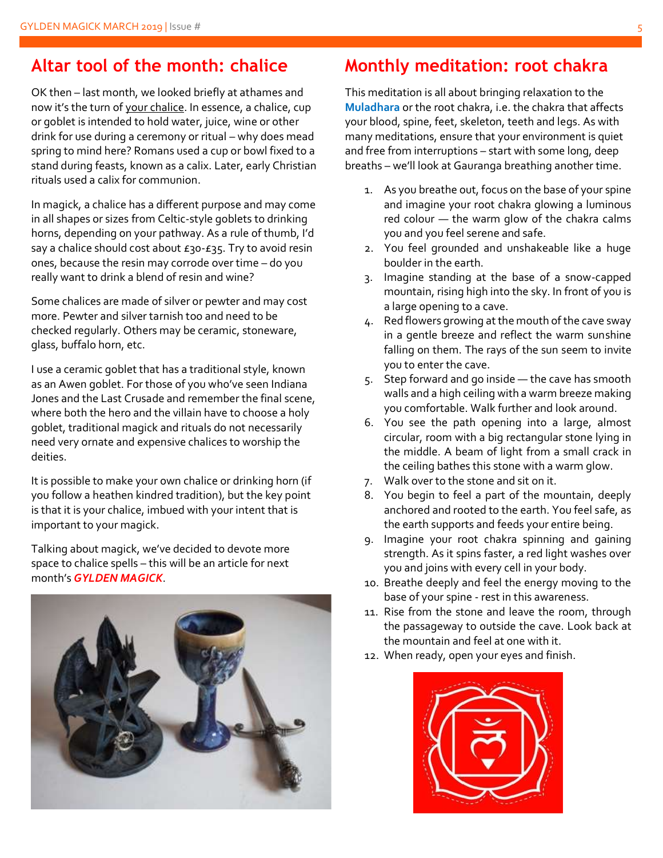#### **Altar tool of the month: chalice**

OK then – last month, we looked briefly at athames and now it's the turn of your chalice. In essence, a chalice, cup or goblet is intended to hold water, juice, wine or other drink for use during a ceremony or ritual – why does mead spring to mind here? Romans used a cup or bowl fixed to a stand during feasts, known as a calix. Later, early Christian rituals used a calix for communion.

In magick, a chalice has a different purpose and may come in all shapes or sizes from Celtic-style goblets to drinking horns, depending on your pathway. As a rule of thumb, I'd say a chalice should cost about  $E_3$ o- $E_3$ 5. Try to avoid resin ones, because the resin may corrode over time – do you really want to drink a blend of resin and wine?

Some chalices are made of silver or pewter and may cost more. Pewter and silver tarnish too and need to be checked regularly. Others may be ceramic, stoneware, glass, buffalo horn, etc.

I use a ceramic goblet that has a traditional style, known as an Awen goblet. For those of you who've seen Indiana Jones and the Last Crusade and remember the final scene, where both the hero and the villain have to choose a holy goblet, traditional magick and rituals do not necessarily need very ornate and expensive chalices to worship the deities.

It is possible to make your own chalice or drinking horn (if you follow a heathen kindred tradition), but the key point is that it is your chalice, imbued with your intent that is important to your magick.

Talking about magick, we've decided to devote more space to chalice spells – this will be an article for next month's *GYLDEN MAGICK*.



### **Monthly meditation: root chakra**

This meditation is all about bringing relaxation to the **Muladhara** or the root chakra, i.e. the chakra that affects your blood, spine, feet, skeleton, teeth and legs. As with many meditations, ensure that your environment is quiet and free from interruptions – start with some long, deep breaths – we'll look at Gauranga breathing another time.

- 1. As you breathe out, focus on the base of your spine and imagine your root chakra glowing a luminous red colour — the warm glow of the chakra calms you and you feel serene and safe.
- 2. You feel grounded and unshakeable like a huge boulder in the earth.
- 3. Imagine standing at the base of a snow-capped mountain, rising high into the sky. In front of you is a large opening to a cave.
- 4. Red flowers growing at the mouth of the cave sway in a gentle breeze and reflect the warm sunshine falling on them. The rays of the sun seem to invite you to enter the cave.
- 5. Step forward and go inside the cave has smooth walls and a high ceiling with a warm breeze making you comfortable. Walk further and look around.
- 6. You see the path opening into a large, almost circular, room with a big rectangular stone lying in the middle. A beam of light from a small crack in the ceiling bathes this stone with a warm glow.
- 7. Walk over to the stone and sit on it.
- 8. You begin to feel a part of the mountain, deeply anchored and rooted to the earth. You feel safe, as the earth supports and feeds your entire being.
- 9. Imagine your root chakra spinning and gaining strength. As it spins faster, a red light washes over you and joins with every cell in your body.
- 10. Breathe deeply and feel the energy moving to the base of your spine - rest in this awareness.
- 11. Rise from the stone and leave the room, through the passageway to outside the cave. Look back at the mountain and feel at one with it.
- 12. When ready, open your eyes and finish.

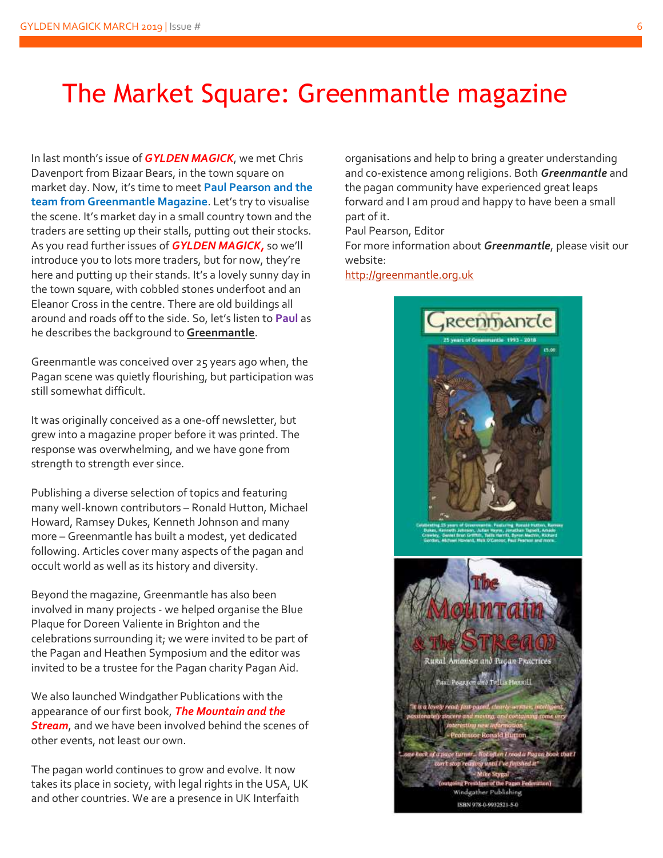## The Market Square: Greenmantle magazine

In last month's issue of *GYLDEN MAGICK*, we met Chris Davenport from Bizaar Bears, in the town square on market day. Now, it's time to meet **Paul Pearson and the team from Greenmantle Magazine**. Let's try to visualise the scene. It's market day in a small country town and the traders are setting up their stalls, putting out their stocks. As you read further issues of *GYLDEN MAGICK,* so we'll introduce you to lots more traders, but for now, they're here and putting up their stands. It's a lovely sunny day in the town square, with cobbled stones underfoot and an Eleanor Cross in the centre. There are old buildings all around and roads off to the side. So, let's listen to **Paul** as he describes the background to **Greenmantle**.

Greenmantle was conceived over 25 years ago when, the Pagan scene was quietly flourishing, but participation was still somewhat difficult.

It was originally conceived as a one-off newsletter, but grew into a magazine proper before it was printed. The response was overwhelming, and we have gone from strength to strength ever since.

Publishing a diverse selection of topics and featuring many well-known contributors – Ronald Hutton, Michael Howard, Ramsey Dukes, Kenneth Johnson and many more – Greenmantle has built a modest, yet dedicated following. Articles cover many aspects of the pagan and occult world as well as its history and diversity.

Beyond the magazine, Greenmantle has also been involved in many projects - we helped organise the Blue Plaque for Doreen Valiente in Brighton and the celebrations surrounding it; we were invited to be part of the Pagan and Heathen Symposium and the editor was invited to be a trustee for the Pagan charity Pagan Aid.

We also launched Windgather Publications with the appearance of our first book, *The Mountain and the Stream*, and we have been involved behind the scenes of other events, not least our own.

The pagan world continues to grow and evolve. It now takes its place in society, with legal rights in the USA, UK and other countries. We are a presence in UK Interfaith

organisations and help to bring a greater understanding and co-existence among religions. Both *Greenmantle* and the pagan community have experienced great leaps forward and I am proud and happy to have been a small part of it.

Paul Pearson, Editor

For more information about *Greenmantle*, please visit our website:

[http://greenmantle.org.uk](http://greenmantle.org.uk/)

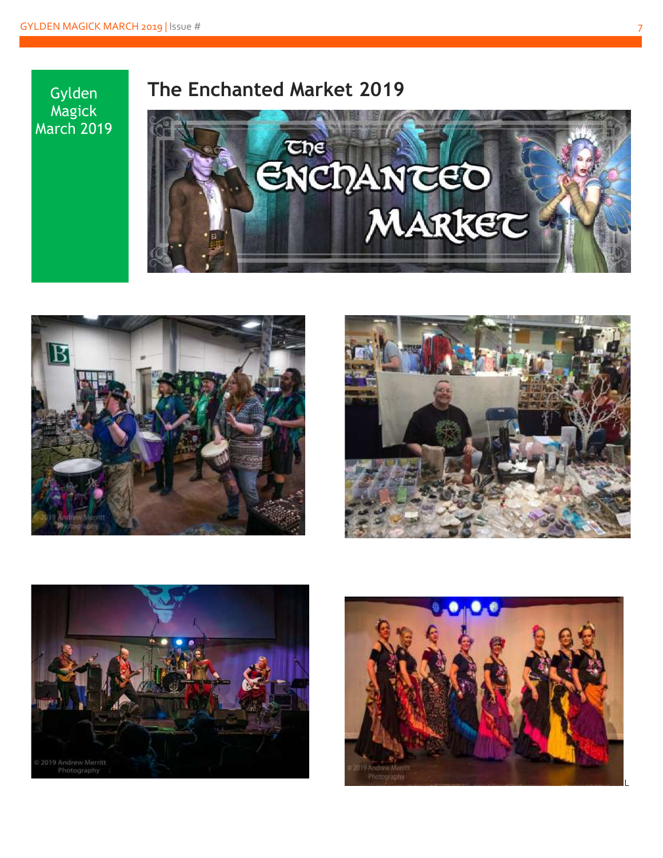Gylden Magick March 2019

## **The Enchanted Market 2019**









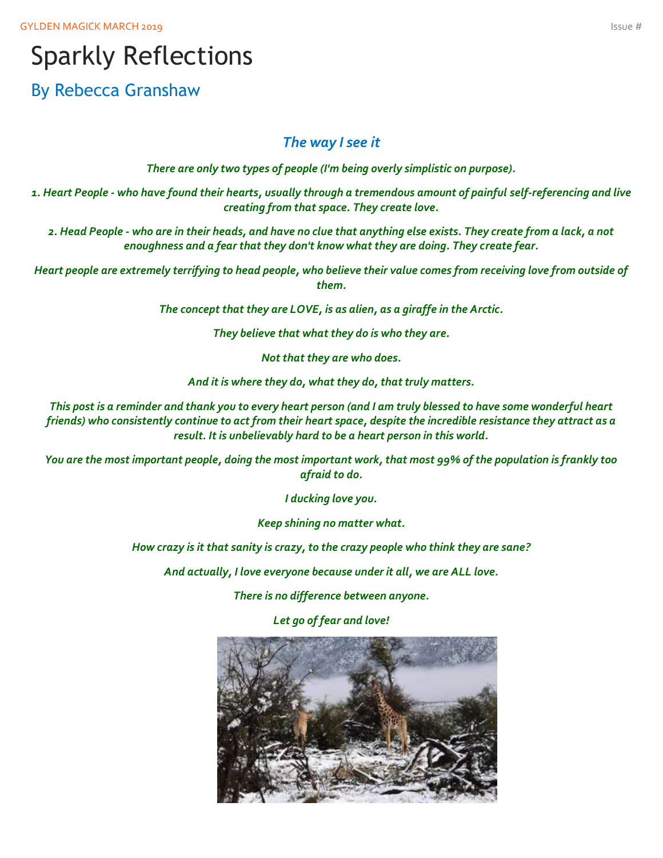GYLDEN MAGICK MARCH 2019 **ISSUE** # 1999 ISSUE # 1999 ISSUE # 1999 ISSUE # 1999 ISSUE # 1999 ISSUE # 1999 ISSUE #

## Sparkly Reflections

By Rebecca Granshaw

#### *The way I see it*

*There are only two types of people (I'm being overly simplistic on purpose).*

*1. Heart People - who have found their hearts, usually through a tremendous amount of painful self-referencing and live creating from that space. They create love.*

*2. Head People - who are in their heads, and have no clue that anything else exists. They create from a lack, a not enoughness and a fear that they don't know what they are doing. They create fear.*

*Heart people are extremely terrifying to head people, who believe their value comes from receiving love from outside of them.*

*The concept that they are LOVE, is as alien, as a giraffe in the Arctic.*

*They believe that what they do is who they are.*

*Not that they are who does.*

*And it is where they do, what they do, that truly matters.*

*This post is a reminder and thank you to every heart person (and I am truly blessed to have some wonderful heart friends) who consistently continue to act from their heart space, despite the incredible resistance they attract as a result. It is unbelievably hard to be a heart person in this world.*

*You are the most important people, doing the most important work, that most 99% of the population is frankly too afraid to do.*

*I ducking love you.*

*Keep shining no matter what.*

*How crazy is it that sanity is crazy, to the crazy people who think they are sane?*

*And actually, I love everyone because under it all, we are ALL love.*

*There is no difference between anyone.*

*Let go of fear and love!*

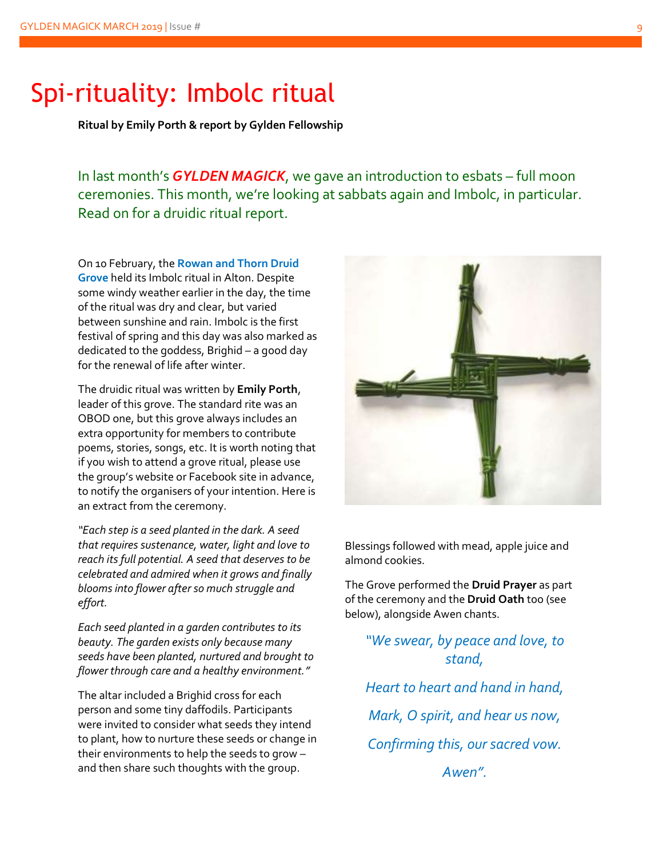## Spi-rituality: Imbolc ritual

**Ritual by Emily Porth & report by Gylden Fellowship**

In last month's *GYLDEN MAGICK*, we gave an introduction to esbats – full moon ceremonies. This month, we're looking at sabbats again and Imbolc, in particular. Read on for a druidic ritual report.

On 10 February, the **Rowan and Thorn Druid Grove** held its Imbolc ritual in Alton. Despite some windy weather earlier in the day, the time of the ritual was dry and clear, but varied between sunshine and rain. Imbolc is the first festival of spring and this day was also marked as dedicated to the goddess, Brighid – a good day for the renewal of life after winter.

The druidic ritual was written by **Emily Porth**, leader of this grove. The standard rite was an OBOD one, but this grove always includes an extra opportunity for members to contribute poems, stories, songs, etc. It is worth noting that if you wish to attend a grove ritual, please use the group's website or Facebook site in advance, to notify the organisers of your intention. Here is an extract from the ceremony.

*"Each step is a seed planted in the dark. A seed that requires sustenance, water, light and love to reach its full potential. A seed that deserves to be celebrated and admired when it grows and finally blooms into flower after so much struggle and effort.*

*Each seed planted in a garden contributes to its beauty. The garden exists only because many seeds have been planted, nurtured and brought to flower through care and a healthy environment."*

The altar included a Brighid cross for each person and some tiny daffodils. Participants were invited to consider what seeds they intend to plant, how to nurture these seeds or change in their environments to help the seeds to grow – and then share such thoughts with the group.



Blessings followed with mead, apple juice and almond cookies.

The Grove performed the **Druid Prayer** as part of the ceremony and the **Druid Oath** too (see below), alongside Awen chants.

*"We swear, by peace and love, to stand,*

*Heart to heart and hand in hand, Mark, O spirit, and hear us now, Confirming this, our sacred vow. Awen".*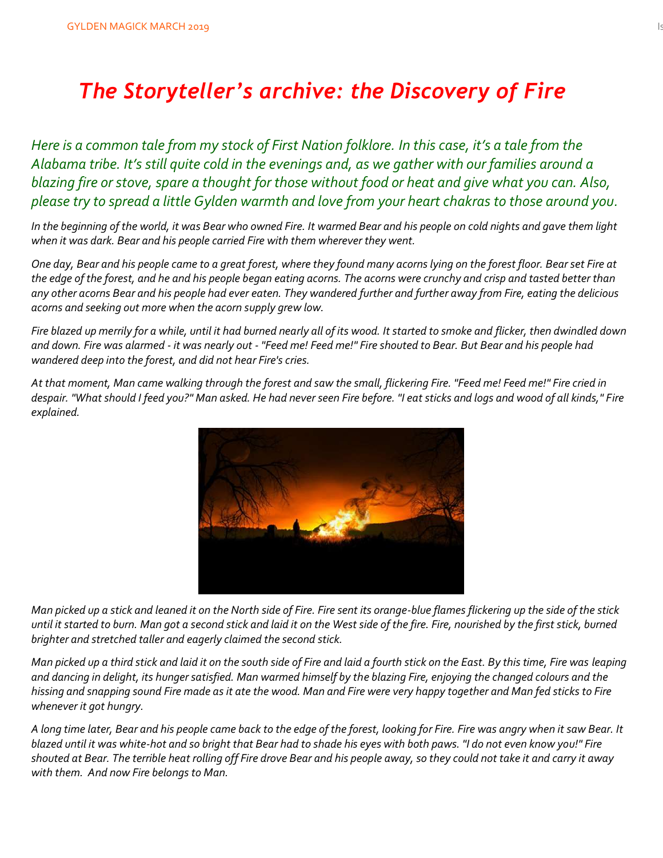## *The Storyteller's archive: the Discovery of Fire*

*Here is a common tale from my stock of First Nation folklore. In this case, it's a tale from the Alabama tribe. It's still quite cold in the evenings and, as we gather with our families around a blazing fire or stove, spare a thought for those without food or heat and give what you can. Also, please try to spread a little Gylden warmth and love from your heart chakras to those around you.*

*In the beginning of the world, it was Bear who owned Fire. It warmed Bear and his people on cold nights and gave them light when it was dark. Bear and his people carried Fire with them wherever they went.*

*One day, Bear and his people came to a great forest, where they found many acorns lying on the forest floor. Bear set Fire at the edge of the forest, and he and his people began eating acorns. The acorns were crunchy and crisp and tasted better than any other acorns Bear and his people had ever eaten. They wandered further and further away from Fire, eating the delicious acorns and seeking out more when the acorn supply grew low.* 

*Fire blazed up merrily for a while, until it had burned nearly all of its wood. It started to smoke and flicker, then dwindled down and down. Fire was alarmed - it was nearly out - "Feed me! Feed me!" Fire shouted to Bear. But Bear and his people had wandered deep into the forest, and did not hear Fire's cries.* 

*At that moment, Man came walking through the forest and saw the small, flickering Fire. "Feed me! Feed me!" Fire cried in despair. "What should I feed you?" Man asked. He had never seen Fire before. "I eat sticks and logs and wood of all kinds," Fire explained.* 



*Man picked up a stick and leaned it on the North side of Fire. Fire sent its orange-blue flames flickering up the side of the stick until it started to burn. Man got a second stick and laid it on the West side of the fire. Fire, nourished by the first stick, burned brighter and stretched taller and eagerly claimed the second stick.*

*Man picked up a third stick and laid it on the south side of Fire and laid a fourth stick on the East. By this time, Fire was leaping and dancing in delight, its hunger satisfied. Man warmed himself by the blazing Fire, enjoying the changed colours and the hissing and snapping sound Fire made as it ate the wood. Man and Fire were very happy together and Man fed sticks to Fire whenever it got hungry.*

*A long time later, Bear and his people came back to the edge of the forest, looking for Fire. Fire was angry when it saw Bear. It blazed until it was white-hot and so bright that Bear had to shade his eyes with both paws. "I do not even know you!" Fire shouted at Bear. The terrible heat rolling off Fire drove Bear and his people away, so they could not take it and carry it away with them. And now Fire belongs to Man.*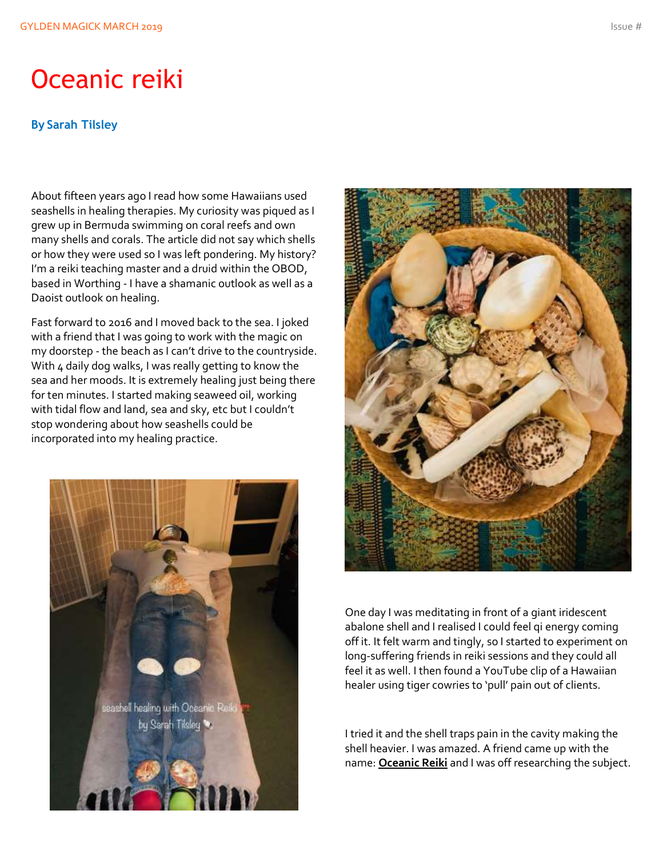## Oceanic reiki

#### **By Sarah Tilsley**

About fifteen years ago I read how some Hawaiians used seashells in healing therapies. My curiosity was piqued as I grew up in Bermuda swimming on coral reefs and own many shells and corals. The article did not say which shells or how they were used so I was left pondering. My history? I'm a reiki teaching master and a druid within the OBOD, based in Worthing - I have a shamanic outlook as well as a Daoist outlook on healing.

Fast forward to 2016 and I moved back to the sea. I joked with a friend that I was going to work with the magic on my doorstep - the beach as I can't drive to the countryside. With 4 daily dog walks, I was really getting to know the sea and her moods. It is extremely healing just being there for ten minutes. I started making seaweed oil, working with tidal flow and land, sea and sky, etc but I couldn't stop wondering about how seashells could be incorporated into my healing practice.





One day I was meditating in front of a giant iridescent abalone shell and I realised I could feel qi energy coming off it. It felt warm and tingly, so I started to experiment on long-suffering friends in reiki sessions and they could all feel it as well. I then found a YouTube clip of a Hawaiian healer using tiger cowries to 'pull' pain out of clients.

I tried it and the shell traps pain in the cavity making the shell heavier. I was amazed. A friend came up with the name: **Oceanic Reiki** and I was off researching the subject.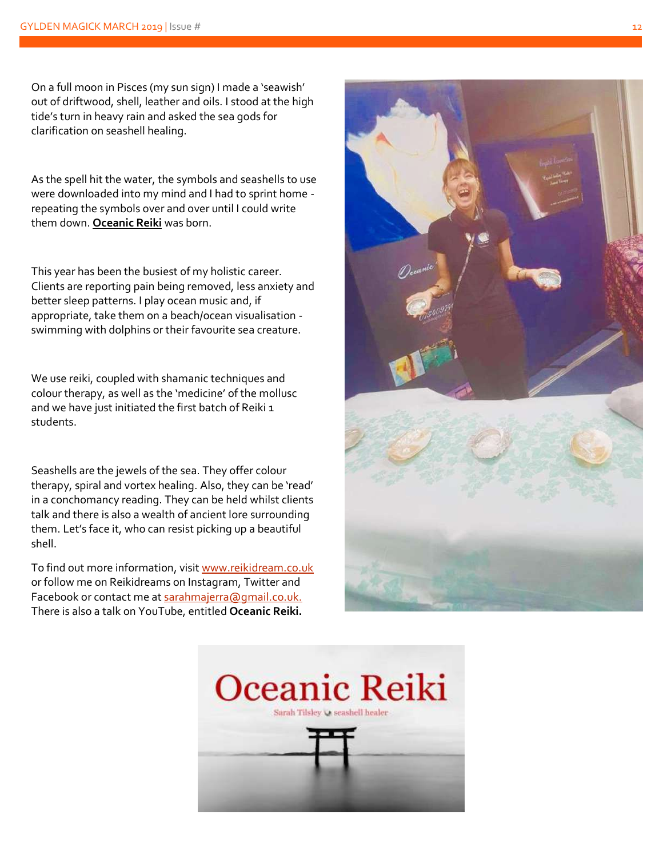On a full moon in Pisces (my sun sign) I made a 'seawish' out of driftwood, shell, leather and oils. I stood at the high tide 's turn in heavy rain and asked the sea gods for clarification on seashell healing.

As the spell hit the water , the symbols and seashells to use were downloaded into my mind and I had to sprint home repeating the symbols over and over until I could write them down. **Oceanic Reiki** was born.

This year has been the busiest of my holistic career. Clients are reporting pain being removed, less anxiety and better sleep patterns. I play ocean music and , if appropriate , take them on a beach/ocean visualisation swimming with dolphins or their favourite sea creature.

We use reiki, coupled with shamanic techniques and colour therapy , as well as the 'medicine' of the mollus c and we have just initiated the first batch of Reiki 1 students.

Seashells are the jewels of the sea. They offer colour therapy, spiral and vortex healing. Also, they can be 'read' in a conchomancy reading. They can be held whilst clients talk and there is also a wealth of ancient lore surrounding them. Let's face it, who can resist picking up a beautiful shell.

To find out more information, visit <u>www.reikidream.co.uk</u> or follow me on Reikidreams on Instagram, Twitter and Facebook or contact me a[t sarahmajerra@gmail.co.uk.](mailto:sarahmajerra@gmail.co.uk) There is also a talk on YouTube, entitled **Oceanic Reiki.**



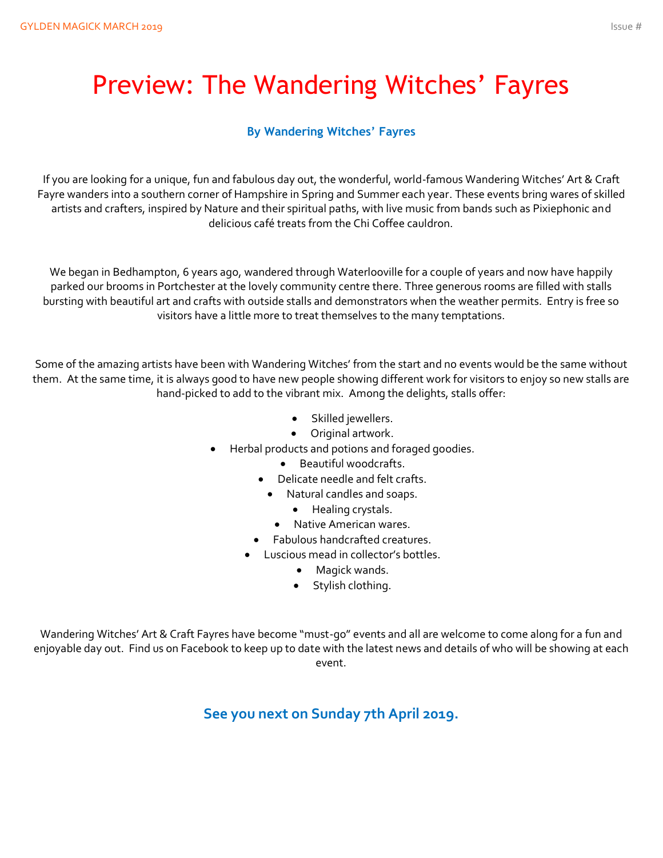## Preview: The Wandering Witches' Fayres

#### **By Wandering Witches' Fayres**

If you are looking for a unique, fun and fabulous day out, the wonderful, world-famous Wandering Witches' Art & Craft Fayre wanders into a southern corner of Hampshire in Spring and Summer each year. These events bring wares of skilled artists and crafters, inspired by Nature and their spiritual paths, with live music from bands such as Pixiephonic and delicious café treats from the Chi Coffee cauldron.

We began in Bedhampton, 6 years ago, wandered through Waterlooville for a couple of years and now have happily parked our brooms in Portchester at the lovely community centre there. Three generous rooms are filled with stalls bursting with beautiful art and crafts with outside stalls and demonstrators when the weather permits. Entry is free so visitors have a little more to treat themselves to the many temptations.

Some of the amazing artists have been with Wandering Witches' from the start and no events would be the same without them. At the same time, it is always good to have new people showing different work for visitors to enjoy so new stalls are hand-picked to add to the vibrant mix. Among the delights, stalls offer:

- Skilled jewellers.
- Original artwork.
- Herbal products and potions and foraged goodies.
	- Beautiful woodcrafts.
	- Delicate needle and felt crafts.
		- Natural candles and soaps.
			- Healing crystals.
			- Native American wares.
	- Fabulous handcrafted creatures.
	- Luscious mead in collector's bottles.
		- Magick wands.
		- Stylish clothing.

Wandering Witches' Art & Craft Fayres have become "must-go" events and all are welcome to come along for a fun and enjoyable day out. Find us on Facebook to keep up to date with the latest news and details of who will be showing at each event.

**See you next on Sunday 7th April 2019.**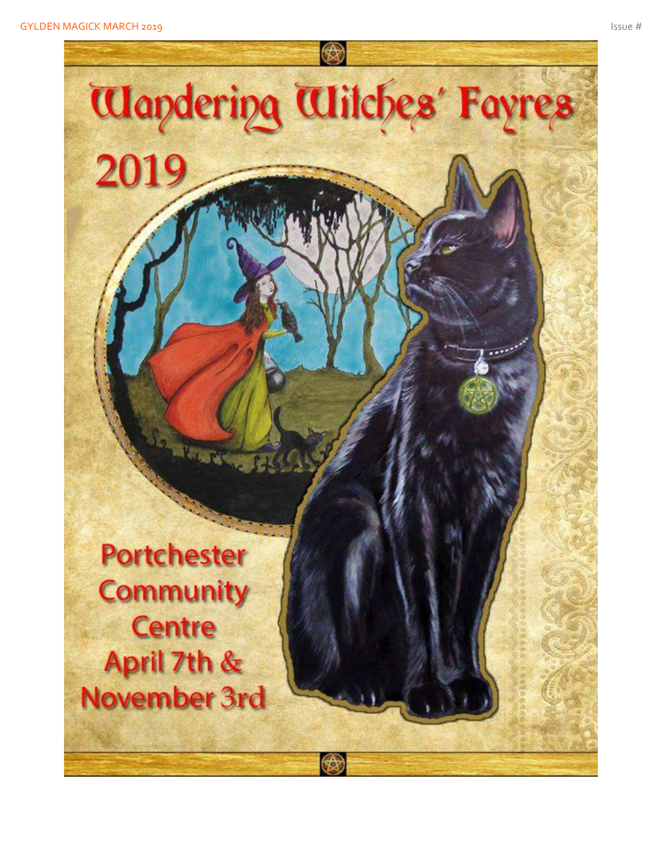

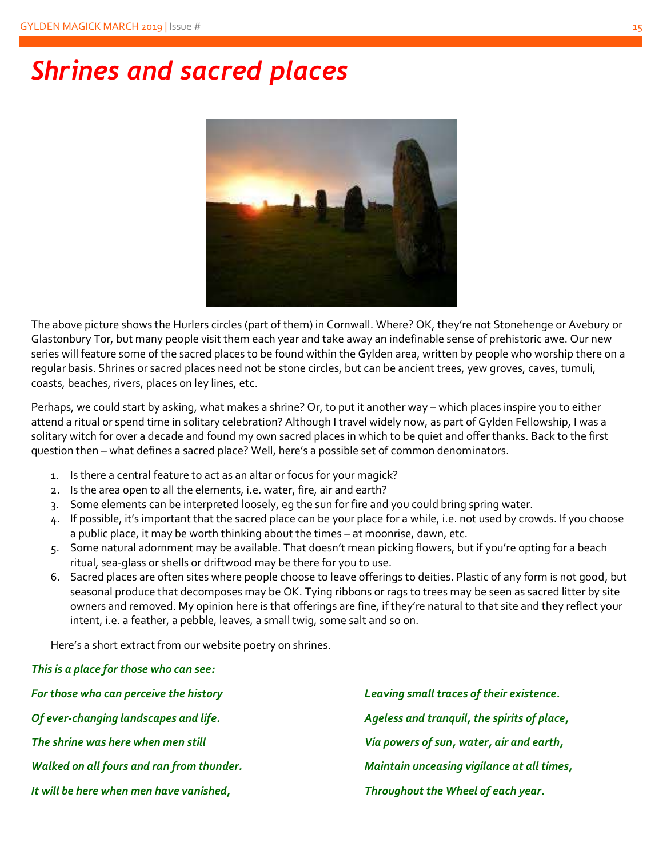## *Shrines and sacred places*



The above picture shows the Hurlers circles (part of them) in Cornwall. Where? OK, they're not Stonehenge or Avebury or Glastonbury Tor, but many people visit them each year and take away an indefinable sense of prehistoric awe. Our new series will feature some of the sacred places to be found within the Gylden area, written by people who worship there on a regular basis. Shrines or sacred places need not be stone circles, but can be ancient trees, yew groves, caves, tumuli, coasts, beaches, rivers, places on ley lines, etc.

Perhaps, we could start by asking, what makes a shrine? Or, to put it another way – which places inspire you to either attend a ritual or spend time in solitary celebration? Although I travel widely now, as part of Gylden Fellowship, I was a solitary witch for over a decade and found my own sacred places in which to be quiet and offer thanks. Back to the first question then – what defines a sacred place? Well, here's a possible set of common denominators.

- 1. Is there a central feature to act as an altar or focus for your magick?
- 2. Is the area open to all the elements, i.e. water, fire, air and earth?
- 3. Some elements can be interpreted loosely, eg the sun for fire and you could bring spring water.
- 4. If possible, it's important that the sacred place can be your place for a while, i.e. not used by crowds. If you choose a public place, it may be worth thinking about the times – at moonrise, dawn, etc.
- 5. Some natural adornment may be available. That doesn't mean picking flowers, but if you're opting for a beach ritual, sea-glass or shells or driftwood may be there for you to use.
- 6. Sacred places are often sites where people choose to leave offerings to deities. Plastic of any form is not good, but seasonal produce that decomposes may be OK. Tying ribbons or rags to trees may be seen as sacred litter by site owners and removed. My opinion here is that offerings are fine, if they're natural to that site and they reflect your intent, i.e. a feather, a pebble, leaves, a small twig, some salt and so on.

#### Here's a short extract from our website poetry on shrines.

*This is a place for those who can see:*

| For those who can perceive the history    | Leaving small traces of their existence.    |
|-------------------------------------------|---------------------------------------------|
| Of ever-changing landscapes and life.     | Ageless and tranquil, the spirits of place, |
| The shrine was here when men still        | Via powers of sun, water, air and earth,    |
| Walked on all fours and ran from thunder. | Maintain unceasing vigilance at all times,  |
| It will be here when men have vanished,   | Throughout the Wheel of each year.          |